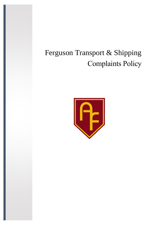# Ferguson Transport & Shipping Complaints Policy

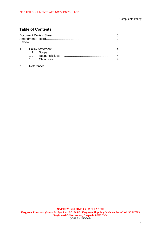## **Table of Contents**

| $1 \quad$    | 1.3 |  |  |  |  |
|--------------|-----|--|--|--|--|
| $\mathbf{c}$ |     |  |  |  |  |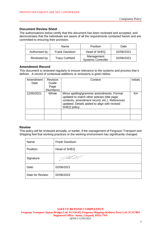#### **Document Review Sheet**

The authorisations below certify that this document has been reviewed and accepted, and demonstrates that the individuals are aware of all the requirements contained herein and are committed to ensuring their provision.

|                | Name                  | <b>Position</b>                         | Date       |
|----------------|-----------------------|-----------------------------------------|------------|
| Authorised by: | <b>Frank Davidson</b> | Head of SHEQ                            | 02/06/2021 |
| Reviewed by:   | <b>Tracy Cuthbert</b> | Management<br><b>Systems Controller</b> | 02/06/2021 |

#### **Amendment Record**

This document is reviewed regularly to ensure relevance to the systems and process that it defines. A record of contextual additions or omissions is given below.

| Amendment<br>Date | Revision<br>Guide<br>Page<br>(Numbers) | Context                                                                                                                                                                                                    | <b>Initials</b> |
|-------------------|----------------------------------------|------------------------------------------------------------------------------------------------------------------------------------------------------------------------------------------------------------|-----------------|
| 12/05/2021        | Whole                                  | Minor spelling/grammar amendments. Format<br>updated to match other policies (title page,<br>contents, amendment record, etc.). References<br>updated. Details added to align with revised<br>SHEQ policy. | KH              |
|                   |                                        |                                                                                                                                                                                                            |                 |
|                   |                                        |                                                                                                                                                                                                            |                 |

#### **Review**

This policy will be reviewed annually, or earlier, if the management of Ferguson Transport and Shipping feel that working practices or the working environment has significantly changed.

| Name:            | Frank Davidson |
|------------------|----------------|
| Position:        | Head of SHEQ   |
| Signature:       |                |
| Date:            | 02/06/2021     |
| Date for Review: | 02/06/2022     |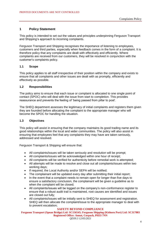#### **1 Policy Statement**

This policy is intended to set out the values and principles underpinning Ferguson Transport and Shipping's approach to incoming complaints.

Ferguson Transport and Shipping recognises the importance of listening to employees, customers and third parties, especially when feedback comes in the form of a complaint. It is therefore policy that any complaints are dealt with effectively and efficiently. Where complaints are received from our customers, they will be resolved in conjunction with the customer's complaints policy.

#### **1.1 Scope**

This policy applies to all staff irrespective of their position within the company and exists to ensure that all complaints and other issues are dealt with as promptly, efficiently and effectively as possible.

#### **1.2 Responsibilities**

The policy aims to ensure that each issue or complaint is allocated to one single point of contact (SPOC) who will deal with the issue from start to completion. This provides reassurance and prevents the feeling of 'being passed from pillar to post'.

The SHEQ department assesses the legitimacy of initial complaints and registers them given they are founded before allocating the complaint to the appropriate manager who will become the SPOC for handling the situation.

#### **1.3 Objectives**

This policy will assist in ensuring that the company maintains its good trading name and its good relationships within the local and wider communities. The policy will also assist in ensuring that employees feel that any complaints they may have are taken seriously, addressed and resolved.

Ferguson Transport & Shipping will ensure that:

- All complaints/issues will be taken seriously and resolution will be prompt;
- All complaints/issues will be acknowledged within one hour of receipt;
- All complaints will be verified for authenticity before remedial work is attempted;
- All attempts will be made to resolve and close out all complaints/issues within two working days;
- If required, the Local Authority and/or SEPA will be notified;
- The complainant will be updated every day after submitting their initial report;
- In the event that a complaint needs to remain open for longer than five days to ensure a satisfactory conclusion, the complainant will be given a guideline as to when the complaint will be closed;
- All complaints/issues will be logged on the company's non-conformance register to ensure that a robust audit trail is maintained, root causes are identified and issues are closed out fully;
- All complaints/issues will be initially sent to SHEQ for assessment and registration. SHEQ will then allocate the complaint/issue to the appropriate manager to deal with to prevent escalation;

#### **SAFETY BEYOND COMPLIANCE**

**Ferguson Transport (Spean Bridge) Ltd: SC156545; Ferguson Shipping (Kishorn Port) Ltd: SC317803 Registered Office: Annat, Corpach, PH33 7NN** *QD39.3 12/05/2021*